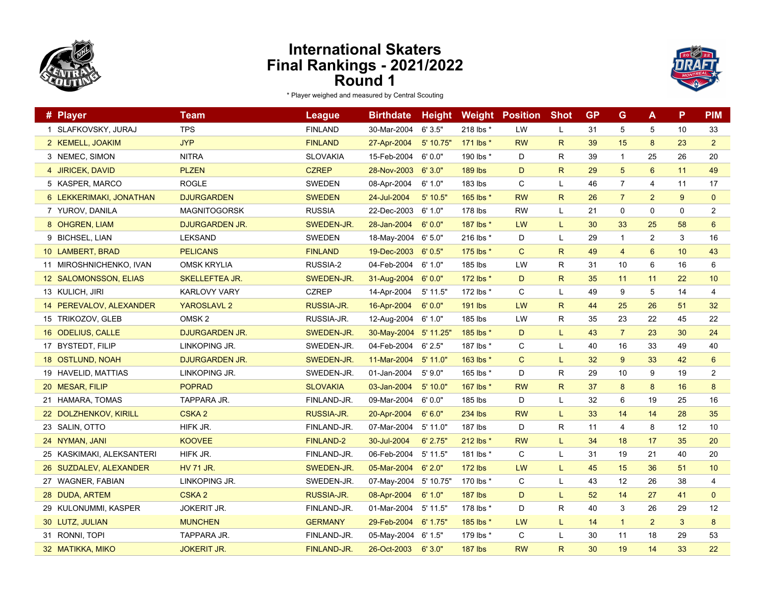



| # Player                  | <b>Team</b>           | <b>League</b>     | <b>Birthdate</b>      | <b>Height</b> |                | <b>Weight Position</b> | <b>Shot</b>  | <b>GP</b> | G              | A              | P  | <b>PIM</b>     |
|---------------------------|-----------------------|-------------------|-----------------------|---------------|----------------|------------------------|--------------|-----------|----------------|----------------|----|----------------|
| 1 SLAFKOVSKY, JURAJ       | <b>TPS</b>            | <b>FINLAND</b>    | 30-Mar-2004           | 6'3.5"        | 218 lbs *      | LW                     | L            | 31        | 5              | 5              | 10 | 33             |
| 2 KEMELL, JOAKIM          | <b>JYP</b>            | <b>FINLAND</b>    | 27-Apr-2004           | $5'$ 10.75'   | 171 lbs *      | <b>RW</b>              | $\mathsf{R}$ | 39        | 15             | 8              | 23 | $\overline{2}$ |
| 3 NEMEC, SIMON            | <b>NITRA</b>          | <b>SLOVAKIA</b>   | 15-Feb-2004           | 6'0.0"        | 190 lbs *      | D                      | R            | 39        | $\mathbf{1}$   | 25             | 26 | 20             |
| 4 JIRICEK, DAVID          | <b>PLZEN</b>          | <b>CZREP</b>      | 28-Nov-2003           | 6'3.0"        | <b>189 lbs</b> | D                      | $\mathsf{R}$ | 29        | 5              | 6              | 11 | 49             |
| 5 KASPER, MARCO           | <b>ROGLE</b>          | <b>SWEDEN</b>     | 08-Apr-2004           | 6' 1.0"       | 183 lbs        | C                      | L            | 46        | 7              | 4              | 11 | 17             |
| 6 LEKKERIMAKI, JONATHAN   | <b>DJURGARDEN</b>     | <b>SWEDEN</b>     | 24-Jul-2004           | $5'$ 10.5"    | 165 lbs *      | <b>RW</b>              | R.           | 26        | $\overline{7}$ | $\overline{2}$ | 9  | $\mathbf{0}$   |
| 7 YUROV, DANILA           | <b>MAGNITOGORSK</b>   | <b>RUSSIA</b>     | 22-Dec-2003           | 6' 1.0"       | 178 lbs        | <b>RW</b>              | L            | 21        | 0              | $\mathbf 0$    | 0  | $\overline{2}$ |
| 8 OHGREN, LIAM            | <b>DJURGARDEN JR.</b> | SWEDEN-JR.        | 28-Jan-2004           | 6'0.0"        | 187 lbs *      | <b>LW</b>              | L            | 30        | 33             | 25             | 58 | $6\phantom{1}$ |
| 9 BICHSEL, LIAN           | <b>LEKSAND</b>        | <b>SWEDEN</b>     | 18-May-2004           | 6'5.0"        | 216 lbs *      | D                      | L            | 29        | $\mathbf{1}$   | 2              | 3  | 16             |
| 10 LAMBERT, BRAD          | <b>PELICANS</b>       | <b>FINLAND</b>    | 19-Dec-2003           | 6'0.5"        | 175 lbs *      | $\mathsf{C}$           | R.           | 49        | $\overline{4}$ | 6              | 10 | 43             |
| 11 MIROSHNICHENKO, IVAN   | <b>OMSK KRYLIA</b>    | RUSSIA-2          | 04-Feb-2004           | 6' 1.0"       | 185 lbs        | <b>LW</b>              | R            | 31        | 10             | 6              | 16 | 6              |
| 12 SALOMONSSON, ELIAS     | <b>SKELLEFTEA JR.</b> | SWEDEN-JR.        | 31-Aug-2004           | 6'0.0"        | 172 lbs *      | D                      | $\mathsf{R}$ | 35        | 11             | 11             | 22 | 10             |
| 13 KULICH, JIRI           | <b>KARLOVY VARY</b>   | <b>CZREP</b>      | 14-Apr-2004           | 5' 11.5"      | 172 lbs *      | C                      | L            | 49        | 9              | 5              | 14 | 4              |
| 14 PEREVALOV, ALEXANDER   | <b>YAROSLAVL 2</b>    | <b>RUSSIA-JR.</b> | 16-Apr-2004           | 6'0.0"        | 191 lbs        | LW                     | R.           | 44        | 25             | 26             | 51 | 32             |
| 15 TRIKOZOV, GLEB         | OMSK <sub>2</sub>     | RUSSIA-JR.        | 12-Aug-2004           | 6'1.0"        | 185 lbs        | LW                     | R            | 35        | 23             | 22             | 45 | 22             |
| 16 ODELIUS, CALLE         | DJURGARDEN JR.        | SWEDEN-JR.        | 30-May-2004 5' 11.25' |               | 185 lbs *      | D                      | L.           | 43        | $\overline{7}$ | 23             | 30 | 24             |
| 17 BYSTEDT, FILIP         | LINKOPING JR.         | SWEDEN-JR.        | 04-Feb-2004           | 6'2.5"        | 187 lbs *      | C                      | L            | 40        | 16             | 33             | 49 | 40             |
| 18 OSTLUND, NOAH          | <b>DJURGARDEN JR.</b> | SWEDEN-JR.        | 11-Mar-2004           | $5'$ 11.0"    | 163 lbs *      | $\mathsf{C}$           |              | 32        | 9              | 33             | 42 | $6\phantom{1}$ |
| 19 HAVELID, MATTIAS       | LINKOPING JR.         | SWEDEN-JR.        | 01-Jan-2004           | 5'9.0"        | 165 lbs *      | D                      | R            | 29        | 10             | 9              | 19 | $\overline{2}$ |
| 20 MESAR, FILIP           | <b>POPRAD</b>         | <b>SLOVAKIA</b>   | 03-Jan-2004           | 5'10.0"       | 167 lbs *      | <b>RW</b>              | $\mathsf{R}$ | 37        | 8              | 8              | 16 | 8              |
| 21 HAMARA, TOMAS          | TAPPARA JR.           | FINLAND-JR.       | 09-Mar-2004           | 6'0.0"        | 185 lbs        | D                      | L            | 32        | 6              | 19             | 25 | 16             |
| 22 DOLZHENKOV, KIRILL     | <b>CSKA2</b>          | RUSSIA-JR.        | 20-Apr-2004           | 6'6.0"        | <b>234 lbs</b> | <b>RW</b>              | L            | 33        | 14             | 14             | 28 | 35             |
| 23 SALIN, OTTO            | HIFK JR.              | FINLAND-JR.       | 07-Mar-2004           | 5' 11.0"      | 187 lbs        | D                      | R            | 11        | 4              | 8              | 12 | 10             |
| 24 NYMAN, JANI            | <b>KOOVEE</b>         | <b>FINLAND-2</b>  | 30-Jul-2004           | 6' 2.75"      | 212 lbs *      | <b>RW</b>              | L            | 34        | 18             | 17             | 35 | 20             |
| 25 KASKIMAKI, ALEKSANTERI | HIFK JR.              | FINLAND-JR.       | 06-Feb-2004           | 5' 11.5"      | 181 lbs *      | C                      | L            | 31        | 19             | 21             | 40 | 20             |
| 26 SUZDALEV, ALEXANDER    | <b>HV 71 JR.</b>      | SWEDEN-JR.        | 05-Mar-2004           | 6'2.0"        | $172$ lbs      | LW                     | L            | 45        | 15             | 36             | 51 | 10             |
| 27 WAGNER, FABIAN         | LINKOPING JR.         | SWEDEN-JR.        | 07-May-2004           | 5' 10.75'     | 170 lbs *      | C                      | L            | 43        | 12             | 26             | 38 | 4              |
| 28 DUDA, ARTEM            | <b>CSKA2</b>          | RUSSIA-JR.        | 08-Apr-2004           | 6'1.0"        | <b>187 lbs</b> | D                      |              | 52        | 14             | 27             | 41 | $\mathbf{0}$   |
| 29 KULONUMMI, KASPER      | <b>JOKERIT JR.</b>    | FINLAND-JR.       | 01-Mar-2004           | 5' 11.5"      | 178 lbs *      | D                      | R            | 40        | 3              | 26             | 29 | 12             |
| 30 LUTZ, JULIAN           | <b>MUNCHEN</b>        | <b>GERMANY</b>    | 29-Feb-2004           | 6' 1.75"      | 185 lbs *      | LW                     | L            | 14        | $\mathbf{1}$   | $\overline{2}$ | 3  | 8              |
| 31 RONNI, TOPI            | TAPPARA JR.           | FINLAND-JR.       | 05-May-2004           | 6' 1.5"       | 179 lbs *      | C                      | L            | 30        | 11             | 18             | 29 | 53             |
| 32 MATIKKA, MIKO          | <b>JOKERIT JR.</b>    | FINLAND-JR.       | 26-Oct-2003           | 6'3.0"        | $187$ lbs      | <b>RW</b>              | $\mathsf{R}$ | 30        | 19             | 14             | 33 | 22             |
|                           |                       |                   |                       |               |                |                        |              |           |                |                |    |                |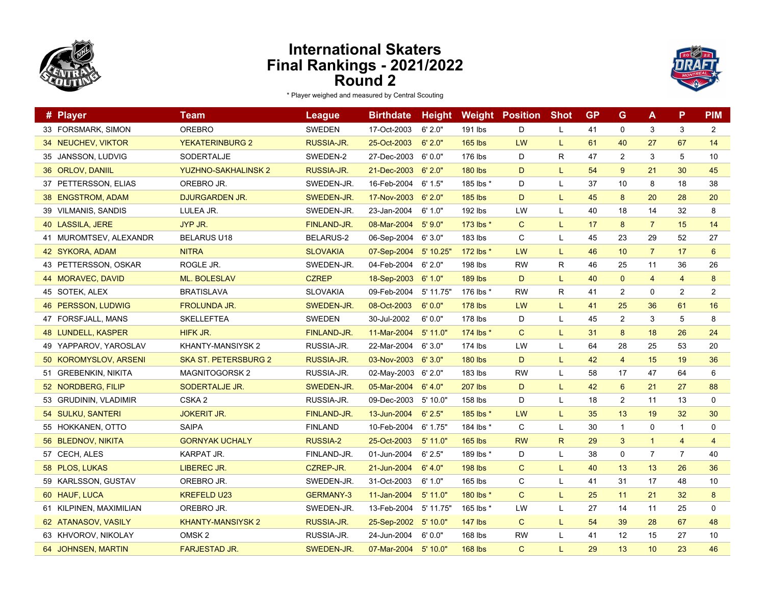



| # Player                  | <b>Team</b>                | <b>League</b>      | <b>Birthdate</b> | <b>Height</b> | Weight         | <b>Position</b> | <b>Shot</b>  | <b>GP</b> | G              | A              | P               | <b>PIM</b>     |
|---------------------------|----------------------------|--------------------|------------------|---------------|----------------|-----------------|--------------|-----------|----------------|----------------|-----------------|----------------|
| 33 FORSMARK, SIMON        | <b>OREBRO</b>              | <b>SWEDEN</b>      | 17-Oct-2003      | 6' 2.0"       | 191 lbs        | D               | L            | 41        | $\mathbf 0$    | 3              | 3               | $\overline{2}$ |
| 34 NEUCHEV, VIKTOR        | <b>YEKATERINBURG 2</b>     | <b>RUSSIA-JR.</b>  | 25-Oct-2003      | 6'2.0"        | <b>165 lbs</b> | LW              | L            | 61        | 40             | 27             | 67              | 14             |
| 35 JANSSON, LUDVIG        | SODERTALJE                 | SWEDEN-2           | 27-Dec-2003      | 6'0.0"        | 176 lbs        | D               | $\mathsf{R}$ | 47        | $\overline{c}$ | 3              | 5               | 10             |
| 36 ORLOV, DANIIL          | <b>YUZHNO-SAKHALINSK 2</b> | RUSSIA-JR.         | 21-Dec-2003      | 6'2.0"        | <b>180 lbs</b> | D               | L            | 54        | 9              | 21             | 30              | 45             |
| 37 PETTERSSON, ELIAS      | OREBRO JR.                 | SWEDEN-JR.         | 16-Feb-2004      | 6' 1.5"       | 185 lbs *      | D               | L            | 37        | 10             | 8              | 18              | 38             |
| 38 ENGSTROM, ADAM         | <b>DJURGARDEN JR.</b>      | SWEDEN-JR.         | 17-Nov-2003      | 6'2.0"        | <b>185 lbs</b> | D               | L.           | 45        | 8              | 20             | 28              | 20             |
| 39 VILMANIS, SANDIS       | LULEA JR.                  | SWEDEN-JR.         | 23-Jan-2004      | 6'1.0"        | 192 lbs        | LW              | L            | 40        | 18             | 14             | 32              | 8              |
| 40 LASSILA, JERE          | JYP JR.                    | <b>FINLAND-JR.</b> | 08-Mar-2004      | 5'9.0"        | 173 lbs *      | C               | L.           | 17        | 8              | $\overline{7}$ | 15              | 14             |
| 41 MUROMTSEV, ALEXANDR    | <b>BELARUS U18</b>         | <b>BELARUS-2</b>   | 06-Sep-2004      | 6'3.0"        | 183 lbs        | C               | L            | 45        | 23             | 29             | 52              | 27             |
| 42 SYKORA, ADAM           | <b>NITRA</b>               | <b>SLOVAKIA</b>    | 07-Sep-2004      | $5'$ 10.25'   | 172 lbs *      | LW              | L.           | 46        | 10             | $\overline{7}$ | 17              | 6              |
| 43 PETTERSSON, OSKAR      | ROGLE JR.                  | SWEDEN-JR.         | 04-Feb-2004      | 6'2.0"        | 198 lbs        | RW              | R            | 46        | 25             | 11             | 36              | 26             |
| 44 MORAVEC, DAVID         | <b>ML. BOLESLAV</b>        | <b>CZREP</b>       | 18-Sep-2003      | 6'1.0"        | <b>189 lbs</b> | D               | L.           | 40        | $\mathbf 0$    | $\overline{4}$ | $\overline{4}$  | 8              |
| 45 SOTEK, ALEX            | <b>BRATISLAVA</b>          | <b>SLOVAKIA</b>    | 09-Feb-2004      | 5' 11.75'     | 176 lbs *      | <b>RW</b>       | R            | 41        | $\overline{2}$ | 0              | $\overline{2}$  | 2              |
| <b>46 PERSSON, LUDWIG</b> | <b>FROLUNDA JR.</b>        | SWEDEN-JR.         | 08-Oct-2003      | 6'0.0"        | <b>178 lbs</b> | LW              | L            | 41        | 25             | 36             | 61              | 16             |
| 47 FORSFJALL, MANS        | <b>SKELLEFTEA</b>          | <b>SWEDEN</b>      | 30-Jul-2002      | 6'0.0"        | 178 lbs        | D               | L            | 45        | $\overline{2}$ | 3              | 5               | 8              |
| <b>48 LUNDELL, KASPER</b> | HIFK JR.                   | FINLAND-JR.        | 11-Mar-2004      | 5'11.0"       | 174 lbs *      | $\mathsf{C}$    | L.           | 31        | 8              | 18             | 26              | 24             |
| 49 YAPPAROV, YAROSLAV     | KHANTY-MANSIYSK 2          | RUSSIA-JR.         | 22-Mar-2004      | 6'3.0"        | 174 lbs        | LW              | L            | 64        | 28             | 25             | 53              | 20             |
| 50 KOROMYSLOV, ARSENI     | SKA ST. PETERSBURG 2       | RUSSIA-JR.         | 03-Nov-2003      | 6'3.0"        | <b>180 lbs</b> | D               | L            | 42        | $\overline{4}$ | 15             | 19              | 36             |
| 51 GREBENKIN, NIKITA      | <b>MAGNITOGORSK2</b>       | RUSSIA-JR.         | 02-May-2003      | 6'2.0"        | 183 lbs        | <b>RW</b>       | L            | 58        | 17             | 47             | 64              | 6              |
| 52 NORDBERG, FILIP        | <b>SODERTALJE JR.</b>      | SWEDEN-JR.         | 05-Mar-2004      | 6' 4.0"       | <b>207 lbs</b> | D               | L.           | 42        | $6\phantom{1}$ | 21             | 27              | 88             |
| 53 GRUDININ, VLADIMIR     | CSKA <sub>2</sub>          | RUSSIA-JR.         | 09-Dec-2003      | 5'10.0"       | 158 lbs        | D               | L            | 18        | $\overline{2}$ | 11             | 13              | $\mathbf 0$    |
| 54 SULKU, SANTERI         | <b>JOKERIT JR.</b>         | FINLAND-JR.        | 13-Jun-2004      | 6' 2.5"       | 185 lbs *      | LW              | L            | 35        | 13             | 19             | 32              | 30             |
| 55 HOKKANEN, OTTO         | <b>SAIPA</b>               | <b>FINLAND</b>     | 10-Feb-2004      | 6' 1.75"      | 184 lbs *      | C               | L            | 30        | $\mathbf{1}$   | 0              | $\mathbf{1}$    | $\mathbf 0$    |
| 56 BLEDNOV, NIKITA        | <b>GORNYAK UCHALY</b>      | <b>RUSSIA-2</b>    | 25-Oct-2003      | $5'$ 11.0"    | <b>165 lbs</b> | <b>RW</b>       | $\mathsf{R}$ | 29        | 3              | $\mathbf{1}$   | $\overline{4}$  | $\overline{4}$ |
| 57 CECH, ALES             | KARPAT JR.                 | FINLAND-JR.        | 01-Jun-2004      | 6' 2.5"       | 189 lbs *      | D               | L            | 38        | $\mathbf 0$    | $\overline{7}$ | $\overline{7}$  | 40             |
| 58 PLOS, LUKAS            | <b>LIBEREC JR.</b>         | CZREP-JR.          | 21-Jun-2004      | 6' 4.0"       | <b>198 lbs</b> | $\mathsf{C}$    | L.           | 40        | 13             | 13             | 26              | 36             |
| 59 KARLSSON, GUSTAV       | OREBRO JR.                 | SWEDEN-JR.         | 31-Oct-2003      | 6'1.0"        | 165 lbs        | C               | L            | 41        | 31             | 17             | 48              | 10             |
| 60 HAUF, LUCA             | <b>KREFELD U23</b>         | <b>GERMANY-3</b>   | 11-Jan-2004      | $5'$ 11.0"    | 180 lbs *      | $\mathsf{C}$    | L            | 25        | 11             | 21             | 32 <sub>2</sub> | 8              |
| 61 KILPINEN, MAXIMILIAN   | OREBRO JR.                 | SWEDEN-JR.         | 13-Feb-2004      | 5' 11.75"     | 165 lbs *      | LW              | L            | 27        | 14             | 11             | 25              | 0              |
| 62 ATANASOV, VASILY       | <b>KHANTY-MANSIYSK 2</b>   | RUSSIA-JR.         | 25-Sep-2002      | 5'10.0"       | <b>147 lbs</b> | $\mathsf{C}$    | L.           | 54        | 39             | 28             | 67              | 48             |
| 63 KHVOROV, NIKOLAY       | OMSK <sub>2</sub>          | RUSSIA-JR.         | 24-Jun-2004      | 6'0.0"        | 168 lbs        | <b>RW</b>       | L            | 41        | 12             | 15             | 27              | 10             |
| 64 JOHNSEN, MARTIN        | <b>FARJESTAD JR.</b>       | SWEDEN-JR.         | 07-Mar-2004      | $5'$ 10.0"    | <b>168 lbs</b> | $\mathsf{C}$    | L.           | 29        | 13             | 10             | 23              | 46             |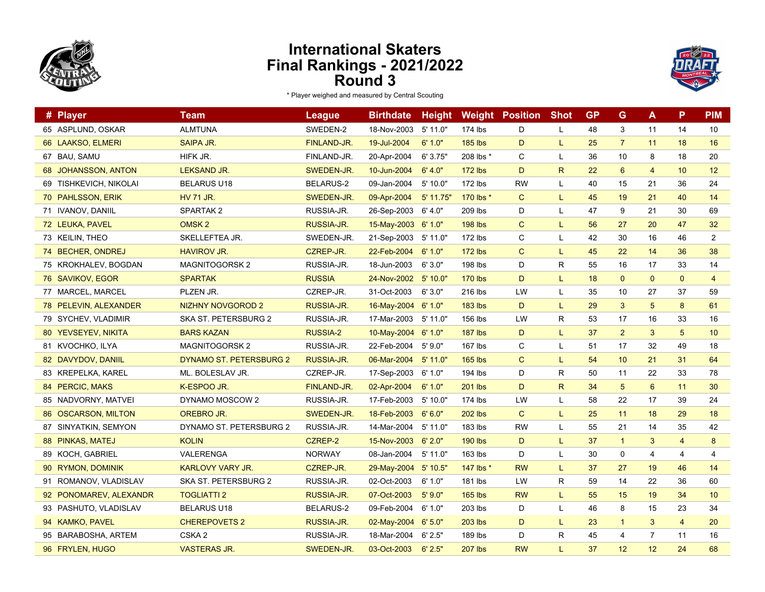



| # Player               | <b>Team</b>              | <b>League</b>    | <b>Birthdate</b>    | <b>Height</b> |                | <b>Weight Position</b> | <b>Shot</b>  | <b>GP</b> | G              | A              | P              | <b>PIM</b>     |
|------------------------|--------------------------|------------------|---------------------|---------------|----------------|------------------------|--------------|-----------|----------------|----------------|----------------|----------------|
| 65 ASPLUND, OSKAR      | <b>ALMTUNA</b>           | SWEDEN-2         | 18-Nov-2003         | 5' 11.0"      | 174 lbs        | D                      | L            | 48        | 3              | 11             | 14             | 10             |
| 66 LAAKSO, ELMERI      | <b>SAIPA JR.</b>         | FINLAND-JR.      | 19-Jul-2004         | 6' 1.0"       | <b>185 lbs</b> | D                      | L.           | 25        | $\overline{7}$ | 11             | 18             | 16             |
| 67 BAU, SAMU           | HIFK JR.                 | FINLAND-JR.      | 20-Apr-2004         | 6' 3.75"      | 208 lbs *      | C                      | L            | 36        | 10             | 8              | 18             | 20             |
| 68 JOHANSSON, ANTON    | <b>LEKSAND JR.</b>       | SWEDEN-JR.       | 10-Jun-2004         | 6' 4.0"       | <b>172 lbs</b> | D                      | $\mathsf{R}$ | 22        | $6\phantom{1}$ | 4              | 10             | 12             |
| 69 TISHKEVICH, NIKOLAI | <b>BELARUS U18</b>       | <b>BELARUS-2</b> | 09-Jan-2004         | 5' 10.0"      | 172 lbs        | <b>RW</b>              | L            | 40        | 15             | 21             | 36             | 24             |
| 70 PAHLSSON, ERIK      | <b>HV 71 JR.</b>         | SWEDEN-JR.       | 09-Apr-2004         | $5'$ 11.75"   | 170 lbs *      | $\mathsf{C}$           | L.           | 45        | 19             | 21             | 40             | 14             |
| 71 IVANOV, DANIIL      | SPARTAK <sub>2</sub>     | RUSSIA-JR.       | 26-Sep-2003         | 6' 4.0"       | 209 lbs        | D                      | L            | 47        | 9              | 21             | 30             | 69             |
| 72 LEUKA, PAVEL        | OMSK <sub>2</sub>        | RUSSIA-JR.       | 15-May-2003 6' 1.0" |               | <b>198 lbs</b> | C                      | L            | 56        | 27             | 20             | 47             | 32             |
| 73 KEILIN, THEO        | SKELLEFTEA JR.           | SWEDEN-JR.       | 21-Sep-2003         | 5' 11.0"      | 172 lbs        | C                      | L            | 42        | 30             | 16             | 46             | 2              |
| 74 BECHER, ONDREJ      | <b>HAVIROV JR.</b>       | CZREP-JR.        | 22-Feb-2004         | 6'1.0"        | <b>172 lbs</b> | $\mathsf{C}$           | L            | 45        | 22             | 14             | 36             | 38             |
| 75 KROKHALEV, BOGDAN   | <b>MAGNITOGORSK2</b>     | RUSSIA-JR.       | 18-Jun-2003         | 6'3.0"        | 198 lbs        | D                      | R            | 55        | 16             | 17             | 33             | 14             |
| 76 SAVIKOV, EGOR       | <b>SPARTAK</b>           | <b>RUSSIA</b>    | 24-Nov-2002         | 5' 10.0"      | <b>170 lbs</b> | D                      | L.           | 18        | $\mathbf{0}$   | $\mathbf{0}$   | $\mathbf{0}$   | $\overline{4}$ |
| 77 MARCEL, MARCEL      | PLZEN JR.                | CZREP-JR.        | 31-Oct-2003         | 6'3.0"        | 216 lbs        | LW                     | L            | 35        | 10             | 27             | 37             | 59             |
| 78 PELEVIN, ALEXANDER  | <b>NIZHNY NOVGOROD 2</b> | RUSSIA-JR.       | 16-May-2004         | 6'1.0"        | <b>183 lbs</b> | D                      | L            | 29        | 3              | 5              | 8              | 61             |
| 79 SYCHEV, VLADIMIR    | SKA ST. PETERSBURG 2     | RUSSIA-JR.       | 17-Mar-2003         | 5' 11.0"      | 156 lbs        | LW                     | R            | 53        | 17             | 16             | 33             | 16             |
| 80 YEVSEYEV, NIKITA    | <b>BARS KAZAN</b>        | <b>RUSSIA-2</b>  | 10-May-2004         | 6'1.0"        | <b>187 lbs</b> | D                      | L            | 37        | $\overline{2}$ | 3              | 5              | 10             |
| 81 KVOCHKO, ILYA       | <b>MAGNITOGORSK2</b>     | RUSSIA-JR.       | 22-Feb-2004         | 5'9.0"        | 167 lbs        | C                      | L            | 51        | 17             | 32             | 49             | 18             |
| 82 DAVYDOV, DANIIL     | DYNAMO ST. PETERSBURG 2  | RUSSIA-JR.       | 06-Mar-2004         | $5'$ 11.0"    | <b>165 lbs</b> | $\mathsf{C}$           | L.           | 54        | 10             | 21             | 31             | 64             |
| 83 KREPELKA, KAREL     | ML. BOLESLAV JR.         | CZREP-JR.        | 17-Sep-2003         | 6' 1.0"       | 194 lbs        | D                      | R            | 50        | 11             | 22             | 33             | 78             |
| 84 PERCIC, MAKS        | K-ESPOO JR.              | FINLAND-JR.      | 02-Apr-2004         | 6'1.0"        | <b>201 lbs</b> | D                      | $\mathsf{R}$ | 34        | $\overline{5}$ | $6^{\circ}$    | 11             | 30             |
| 85 NADVORNY, MATVEI    | DYNAMO MOSCOW 2          | RUSSIA-JR.       | 17-Feb-2003         | 5'10.0"       | 174 lbs        | LW                     | L            | 58        | 22             | 17             | 39             | 24             |
| 86 OSCARSON, MILTON    | OREBRO JR.               | SWEDEN-JR.       | 18-Feb-2003         | 6'6.0"        | <b>202 lbs</b> | $\mathsf{C}$           | L            | 25        | 11             | 18             | 29             | 18             |
| 87 SINYATKIN, SEMYON   | DYNAMO ST. PETERSBURG 2  | RUSSIA-JR.       | 14-Mar-2004         | $5'$ 11.0"    | 183 lbs        | <b>RW</b>              | L            | 55        | 21             | 14             | 35             | 42             |
| 88 PINKAS, MATEJ       | <b>KOLIN</b>             | CZREP-2          | 15-Nov-2003         | 6'2.0"        | <b>190 lbs</b> | D                      | L            | 37        | $\mathbf{1}$   | 3              | $\overline{4}$ | 8              |
| 89 KOCH, GABRIEL       | VALERENGA                | <b>NORWAY</b>    | 08-Jan-2004         | 5' 11.0"      | 163 lbs        | D                      | L            | 30        | 0              | 4              | 4              | 4              |
| 90 RYMON, DOMINIK      | KARLOVY VARY JR.         | CZREP-JR.        | 29-May-2004         | 5'10.5''      | 147 lbs *      | <b>RW</b>              | L            | 37        | 27             | 19             | 46             | 14             |
| 91 ROMANOV, VLADISLAV  | SKA ST. PETERSBURG 2     | RUSSIA-JR.       | 02-Oct-2003         | 6' 1.0"       | 181 lbs        | LW                     | R            | 59        | 14             | 22             | 36             | 60             |
| 92 PONOMAREV, ALEXANDR | <b>TOGLIATTI 2</b>       | RUSSIA-JR.       | 07-Oct-2003         | 5'9.0''       | <b>165 lbs</b> | <b>RW</b>              | L            | 55        | 15             | 19             | 34             | 10             |
| 93 PASHUTO, VLADISLAV  | <b>BELARUS U18</b>       | <b>BELARUS-2</b> | 09-Feb-2004         | 6'1.0"        | 203 lbs        | D                      | L            | 46        | 8              | 15             | 23             | 34             |
| 94 KAMKO, PAVEL        | <b>CHEREPOVETS 2</b>     | RUSSIA-JR.       | 02-May-2004         | 6'5.0"        | <b>203 lbs</b> | D                      | L.           | 23        | $\mathbf{1}$   | 3              | $\overline{4}$ | 20             |
| 95 BARABOSHA, ARTEM    | CSKA <sub>2</sub>        | RUSSIA-JR.       | 18-Mar-2004         | 6' 2.5"       | 189 lbs        | D                      | R            | 45        | 4              | $\overline{7}$ | 11             | 16             |
| 96 FRYLEN, HUGO        | <b>VASTERAS JR.</b>      | SWEDEN-JR.       | 03-Oct-2003         | 6'2.5"        | <b>207 lbs</b> | <b>RW</b>              | L.           | 37        | 12             | 12             | 24             | 68             |
|                        |                          |                  |                     |               |                |                        |              |           |                |                |                |                |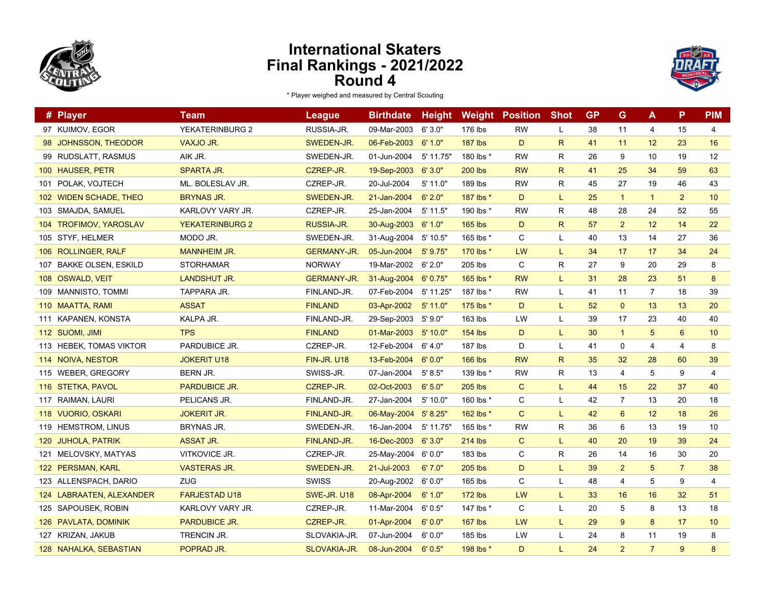



|     | # Player                 | Team                   | <b>League</b>      | <b>Birthdate</b> | <b>Height</b> |                | <b>Weight Position</b> | <b>Shot</b>  | <b>GP</b> | G              | A              | P              | <b>PIM</b> |
|-----|--------------------------|------------------------|--------------------|------------------|---------------|----------------|------------------------|--------------|-----------|----------------|----------------|----------------|------------|
|     | 97 KUIMOV, EGOR          | YEKATERINBURG 2        | RUSSIA-JR.         | 09-Mar-2003      | 6'3.0"        | 176 lbs        | <b>RW</b>              | L            | 38        | 11             | 4              | 15             | 4          |
|     | 98 JOHNSSON, THEODOR     | VAXJO JR.              | SWEDEN-JR.         | 06-Feb-2003      | 6'1.0"        | <b>187 lbs</b> | D                      | $\mathsf{R}$ | 41        | 11             | 12             | 23             | 16         |
|     | 99 RUDSLATT, RASMUS      | AIK JR.                | SWEDEN-JR.         | 01-Jun-2004      | 5' 11.75'     | 180 lbs *      | <b>RW</b>              | R            | 26        | 9              | 10             | 19             | 12         |
|     | 100 HAUSER, PETR         | SPARTA JR.             | CZREP-JR.          | 19-Sep-2003      | 6'3.0"        | <b>200 lbs</b> | <b>RW</b>              | $\mathsf{R}$ | 41        | 25             | 34             | 59             | 63         |
| 101 | POLAK, VOJTECH           | ML. BOLESLAV JR.       | CZREP-JR.          | 20-Jul-2004      | $5'$ 11.0"    | 189 lbs        | <b>RW</b>              | $\mathsf{R}$ | 45        | 27             | 19             | 46             | 43         |
|     | 102 WIDEN SCHADE, THEO   | <b>BRYNAS JR.</b>      | SWEDEN-JR.         | 21-Jan-2004      | 6'2.0"        | 187 lbs *      | D                      | L            | 25        | $\overline{1}$ | $\mathbf{1}$   | $\overline{2}$ | 10         |
|     | 103 SMAJDA, SAMUEL       | KARLOVY VARY JR.       | CZREP-JR.          | 25-Jan-2004      | $5'$ 11.5"    | 190 lbs *      | <b>RW</b>              | R            | 48        | 28             | 24             | 52             | 55         |
|     | 104 TROFIMOV, YAROSLAV   | <b>YEKATERINBURG 2</b> | RUSSIA-JR.         | 30-Aug-2003      | 6'1.0"        | <b>165 lbs</b> | D                      | $\mathsf{R}$ | 57        | $\overline{2}$ | 12             | 14             | 22         |
|     | 105 STYF, HELMER         | MODO JR.               | SWEDEN-JR.         | 31-Aug-2004      | 5' 10.5"      | 165 lbs *      | C                      | Г            | 40        | 13             | 14             | 27             | 36         |
|     | 106 ROLLINGER, RALF      | <b>MANNHEIM JR.</b>    | <b>GERMANY-JR.</b> | 05-Jun-2004      | $5'$ 9.75"    | 170 lbs *      | LW                     | L            | 34        | 17             | 17             | 34             | 24         |
|     | 107 BAKKE OLSEN, ESKILD  | <b>STORHAMAR</b>       | <b>NORWAY</b>      | 19-Mar-2002      | 6'2.0"        | 205 lbs        | C                      | $\mathsf{R}$ | 27        | 9              | 20             | 29             | 8          |
|     | 108 OSWALD, VEIT         | <b>LANDSHUT JR.</b>    | <b>GERMANY-JR.</b> | 31-Aug-2004      | 6' 0.75"      | 165 lbs *      | <b>RW</b>              | L            | 31        | 28             | 23             | 51             | 8          |
|     | 109 MANNISTO, TOMMI      | TAPPARA JR.            | FINLAND-JR.        | 07-Feb-2004      | 5' 11.25'     | 187 lbs *      | <b>RW</b>              | Г            | 41        | 11             | $\overline{7}$ | 18             | 39         |
|     | 110 MAATTA, RAMI         | <b>ASSAT</b>           | <b>FINLAND</b>     | 03-Apr-2002      | $5'$ 11.0"    | 175 lbs *      | D                      | L            | 52        | $\mathbf{0}$   | 13             | 13             | 20         |
|     | 111 KAPANEN, KONSTA      | KALPA JR.              | FINLAND-JR.        | 29-Sep-2003      | 5'9.0"        | 163 lbs        | LW                     | L            | 39        | 17             | 23             | 40             | 40         |
|     | 112 SUOMI, JIMI          | <b>TPS</b>             | <b>FINLAND</b>     | 01-Mar-2003      | 5'10.0"       | <b>154 lbs</b> | D                      | L            | 30        | $\overline{1}$ | 5              | $6\phantom{1}$ | 10         |
|     | 113 HEBEK, TOMAS VIKTOR  | PARDUBICE JR.          | CZREP-JR.          | 12-Feb-2004      | 6' 4.0"       | 187 lbs        | D                      | L            | 41        | $\pmb{0}$      | 4              | 4              | 8          |
|     | 114 NOIVA, NESTOR        | <b>JOKERIT U18</b>     | <b>FIN-JR. U18</b> | 13-Feb-2004      | 6'0.0"        | <b>166 lbs</b> | <b>RW</b>              | $\mathsf{R}$ | 35        | 32             | 28             | 60             | 39         |
|     | 115 WEBER, GREGORY       | BERN JR.               | SWISS-JR.          | 07-Jan-2004      | 5' 8.5"       | 139 lbs *      | <b>RW</b>              | $\mathsf{R}$ | 13        | 4              | 5              | 9              | 4          |
|     | 116 STETKA, PAVOL        | <b>PARDUBICE JR.</b>   | CZREP-JR.          | 02-Oct-2003      | 6'5.0"        | <b>205 lbs</b> | $\mathsf{C}$           | L            | 44        | 15             | 22             | 37             | 40         |
|     | 117 RAIMAN, LAURI        | PELICANS JR.           | FINLAND-JR.        | 27-Jan-2004      | 5'10.0"       | 160 lbs *      | $\mathsf C$            | L            | 42        | $\overline{7}$ | 13             | 20             | 18         |
|     | 118 VUORIO, OSKARI       | <b>JOKERIT JR.</b>     | FINLAND-JR.        | 06-May-2004      | 5' 8.25"      | 162 lbs *      | $\mathsf{C}$           | L            | 42        | 6              | 12             | 18             | 26         |
|     | 119 HEMSTROM, LINUS      | BRYNAS JR.             | SWEDEN-JR.         | 16-Jan-2004      | 5' 11.75'     | 165 lbs *      | RW                     | R            | 36        | 6              | 13             | 19             | 10         |
|     | 120 JUHOLA, PATRIK       | <b>ASSAT JR.</b>       | FINLAND-JR.        | 16-Dec-2003      | 6'3.0"        | <b>214 lbs</b> | $\mathsf{C}$           | L.           | 40        | 20             | 19             | 39             | 24         |
|     | 121 MELOVSKY, MATYAS     | <b>VITKOVICE JR.</b>   | CZREP-JR.          | 25-May-2004      | 6'0.0"        | 183 lbs        | C                      | R            | 26        | 14             | 16             | 30             | 20         |
|     | 122 PERSMAN, KARL        | <b>VASTERAS JR.</b>    | SWEDEN-JR.         | 21-Jul-2003      | 6'7.0"        | 205 lbs        | D                      | L            | 39        | 2              | 5              | $\overline{7}$ | 38         |
|     | 123 ALLENSPACH, DARIO    | <b>ZUG</b>             | <b>SWISS</b>       | 20-Aug-2002      | 6'0.0"        | 165 lbs        | C                      | L            | 48        | $\overline{4}$ | 5              | 9              | 4          |
|     | 124 LABRAATEN, ALEXANDER | <b>FARJESTAD U18</b>   | SWE-JR. U18        | 08-Apr-2004      | 6' 1.0"       | 172 lbs        | LW                     | L            | 33        | 16             | 16             | 32             | 51         |
|     | 125 SAPOUSEK, ROBIN      | KARLOVY VARY JR.       | CZREP-JR.          | 11-Mar-2004      | 6'0.5"        | 147 lbs *      | C                      | L            | 20        | $\overline{5}$ | 8              | 13             | 18         |
|     | 126 PAVLATA, DOMINIK     | PARDUBICE JR.          | CZREP-JR.          | 01-Apr-2004      | 6'0.0"        | 167 lbs        | LW                     | L            | 29        | 9              | 8              | 17             | 10         |
|     | 127 KRIZAN, JAKUB        | TRENCIN JR.            | SLOVAKIA-JR.       | 07-Jun-2004      | 6'0.0"        | 185 lbs        | LW                     | L            | 24        | 8              | 11             | 19             | 8          |
|     | 128 NAHALKA, SEBASTIAN   | POPRAD JR.             | SLOVAKIA-JR.       | 08-Jun-2004      | 6'0.5"        | 198 lbs *      | D                      | L            | 24        | $\overline{2}$ | $\overline{7}$ | 9              | 8          |